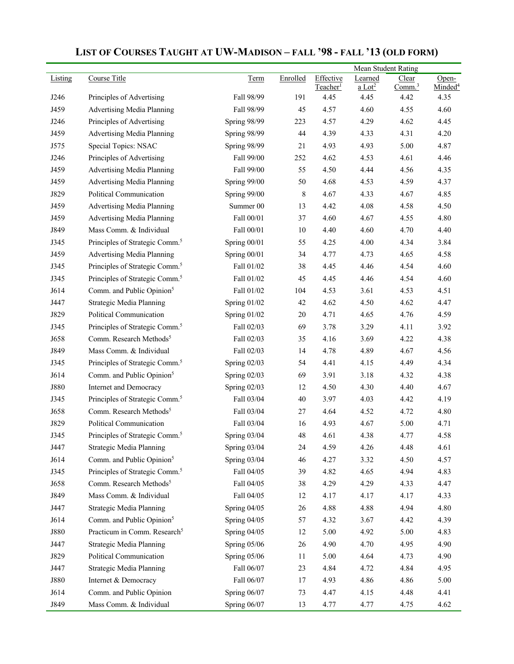|             |                                            |                |          |                                   | Mean Student Rating             |                             |                              |
|-------------|--------------------------------------------|----------------|----------|-----------------------------------|---------------------------------|-----------------------------|------------------------------|
| Listing     | Course Title                               | Term           | Enrolled | Effective<br>Teacher <sup>1</sup> | Learned<br>$a$ Lot <sup>2</sup> | Clear<br>Comm. <sup>3</sup> | Open-<br>Minded <sup>4</sup> |
| J246        | Principles of Advertising                  | Fall 98/99     | 191      | 4.45                              | 4.45                            | 4.42                        | 4.35                         |
| J459        | Advertising Media Planning                 | Fall 98/99     | 45       | 4.57                              | 4.60                            | 4.55                        | 4.60                         |
| J246        | Principles of Advertising                  | Spring 98/99   | 223      | 4.57                              | 4.29                            | 4.62                        | 4.45                         |
| J459        | Advertising Media Planning                 | Spring 98/99   | 44       | 4.39                              | 4.33                            | 4.31                        | 4.20                         |
| J575        | Special Topics: NSAC                       | Spring 98/99   | 21       | 4.93                              | 4.93                            | 5.00                        | 4.87                         |
| J246        | Principles of Advertising                  | Fall 99/00     | 252      | 4.62                              | 4.53                            | 4.61                        | 4.46                         |
| J459        | Advertising Media Planning                 | Fall 99/00     | 55       | 4.50                              | 4.44                            | 4.56                        | 4.35                         |
| J459        | Advertising Media Planning                 | Spring 99/00   | 50       | 4.68                              | 4.53                            | 4.59                        | 4.37                         |
| J829        | Political Communication                    | Spring 99/00   | 8        | 4.67                              | 4.33                            | 4.67                        | 4.85                         |
| J459        | Advertising Media Planning                 | Summer 00      | 13       | 4.42                              | 4.08                            | 4.58                        | 4.50                         |
| J459        | Advertising Media Planning                 | Fall 00/01     | 37       | 4.60                              | 4.67                            | 4.55                        | 4.80                         |
| J849        | Mass Comm. & Individual                    | Fall 00/01     | $10\,$   | 4.40                              | 4.60                            | 4.70                        | 4.40                         |
| J345        | Principles of Strategic Comm. <sup>5</sup> | Spring 00/01   | 55       | 4.25                              | 4.00                            | 4.34                        | 3.84                         |
| J459        | Advertising Media Planning                 | Spring 00/01   | 34       | 4.77                              | 4.73                            | 4.65                        | 4.58                         |
| J345        | Principles of Strategic Comm. <sup>5</sup> | Fall 01/02     | 38       | 4.45                              | 4.46                            | 4.54                        | 4.60                         |
| J345        | Principles of Strategic Comm. <sup>5</sup> | Fall 01/02     | 45       | 4.45                              | 4.46                            | 4.54                        | 4.60                         |
| J614        | Comm. and Public Opinion <sup>5</sup>      | Fall 01/02     | 104      | 4.53                              | 3.61                            | 4.53                        | 4.51                         |
| J447        | Strategic Media Planning                   | Spring 01/02   | 42       | 4.62                              | 4.50                            | 4.62                        | 4.47                         |
| J829        | Political Communication                    | Spring 01/02   | 20       | 4.71                              | 4.65                            | 4.76                        | 4.59                         |
| J345        | Principles of Strategic Comm. <sup>5</sup> | Fall 02/03     | 69       | 3.78                              | 3.29                            | 4.11                        | 3.92                         |
| J658        | Comm. Research Methods <sup>5</sup>        | Fall 02/03     | 35       | 4.16                              | 3.69                            | 4.22                        | 4.38                         |
| J849        | Mass Comm. & Individual                    | Fall 02/03     | 14       | 4.78                              | 4.89                            | 4.67                        | 4.56                         |
| J345        | Principles of Strategic Comm. <sup>5</sup> | Spring $02/03$ | 54       | 4.41                              | 4.15                            | 4.49                        | 4.34                         |
| J614        | Comm. and Public Opinion <sup>5</sup>      | Spring 02/03   | 69       | 3.91                              | 3.18                            | 4.32                        | 4.38                         |
| J880        | Internet and Democracy                     | Spring 02/03   | 12       | 4.50                              | 4.30                            | 4.40                        | 4.67                         |
| J345        | Principles of Strategic Comm. <sup>5</sup> | Fall 03/04     | 40       | 3.97                              | 4.03                            | 4.42                        | 4.19                         |
| J658        | Comm. Research Methods <sup>5</sup>        | Fall 03/04     | 27       | 4.64                              | 4.52                            | 4.72                        | 4.80                         |
| J829        | Political Communication                    | Fall 03/04     | 16       | 4.93                              | 4.67                            | 5.00                        | 4.71                         |
| J345        | Principles of Strategic Comm. <sup>5</sup> | Spring $03/04$ | 48       | 4.61                              | 4.38                            | 4.77                        | 4.58                         |
| J447        | Strategic Media Planning                   | Spring 03/04   | 24       | 4.59                              | 4.26                            | 4.48                        | 4.61                         |
| J614        | Comm. and Public Opinion <sup>5</sup>      | Spring 03/04   | 46       | 4.27                              | 3.32                            | 4.50                        | 4.57                         |
| J345        | Principles of Strategic Comm. <sup>5</sup> | Fall 04/05     | 39       | 4.82                              | 4.65                            | 4.94                        | 4.83                         |
| J658        | Comm. Research Methods <sup>5</sup>        | Fall 04/05     | 38       | 4.29                              | 4.29                            | 4.33                        | 4.47                         |
| J849        | Mass Comm. & Individual                    | Fall 04/05     | 12       | 4.17                              | 4.17                            | 4.17                        | 4.33                         |
| J447        | Strategic Media Planning                   | Spring 04/05   | 26       | 4.88                              | 4.88                            | 4.94                        | 4.80                         |
| J614        | Comm. and Public Opinion <sup>5</sup>      | Spring 04/05   | 57       | 4.32                              | 3.67                            | 4.42                        | 4.39                         |
| <b>J880</b> | Practicum in Comm. Research <sup>5</sup>   | Spring 04/05   | 12       | 5.00                              | 4.92                            | 5.00                        | 4.83                         |
| J447        | Strategic Media Planning                   | Spring 05/06   | 26       | 4.90                              | 4.70                            | 4.95                        | 4.90                         |
| J829        | Political Communication                    | Spring 05/06   | 11       | 5.00                              | 4.64                            | 4.73                        | 4.90                         |
| J447        | Strategic Media Planning                   | Fall 06/07     | 23       | 4.84                              | 4.72                            | 4.84                        | 4.95                         |
| J880        | Internet & Democracy                       | Fall 06/07     | 17       | 4.93                              | 4.86                            | 4.86                        | 5.00                         |
| J614        | Comm. and Public Opinion                   | Spring 06/07   | 73       | 4.47                              | 4.15                            | 4.48                        | 4.41                         |
| J849        | Mass Comm. & Individual                    | Spring 06/07   | 13       | 4.77                              | 4.77                            | 4.75                        | 4.62                         |

## **LIST OF COURSES TAUGHT AT UW-MADISON – FALL '98 - FALL '13 (OLD FORM)**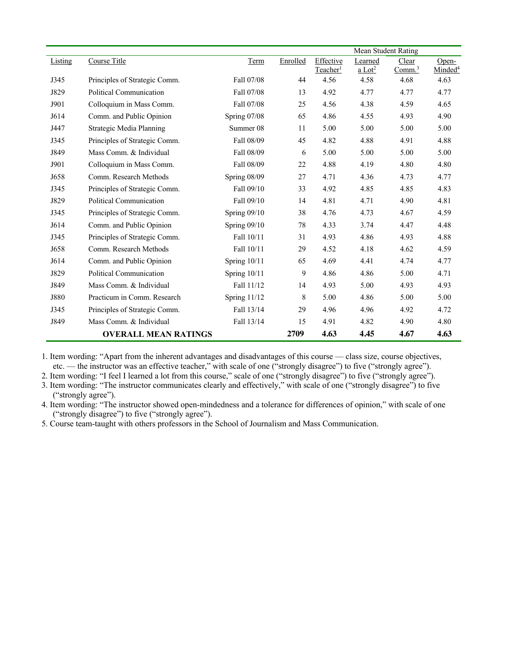|         |                               |                |          |                      | Mean Student Rating  |                    |                     |
|---------|-------------------------------|----------------|----------|----------------------|----------------------|--------------------|---------------------|
| Listing | Course Title                  | Term           | Enrolled | Effective            | Learned              | Clear              | Open-               |
|         |                               |                |          | Teacher <sup>1</sup> | $a$ Lot <sup>2</sup> | Comm. <sup>3</sup> | Minded <sup>4</sup> |
| J345    | Principles of Strategic Comm. | Fall 07/08     | 44       | 4.56                 | 4.58                 | 4.68               | 4.63                |
| J829    | Political Communication       | Fall 07/08     | 13       | 4.92                 | 4.77                 | 4.77               | 4.77                |
| J901    | Colloquium in Mass Comm.      | Fall 07/08     | 25       | 4.56                 | 4.38                 | 4.59               | 4.65                |
| J614    | Comm. and Public Opinion      | Spring 07/08   | 65       | 4.86                 | 4.55                 | 4.93               | 4.90                |
| J447    | Strategic Media Planning      | Summer 08      | 11       | 5.00                 | 5.00                 | 5.00               | 5.00                |
| J345    | Principles of Strategic Comm. | Fall 08/09     | 45       | 4.82                 | 4.88                 | 4.91               | 4.88                |
| J849    | Mass Comm. & Individual       | Fall 08/09     | 6        | 5.00                 | 5.00                 | 5.00               | 5.00                |
| J901    | Colloquium in Mass Comm.      | Fall 08/09     | 22       | 4.88                 | 4.19                 | 4.80               | 4.80                |
| J658    | Comm. Research Methods        | Spring 08/09   | 27       | 4.71                 | 4.36                 | 4.73               | 4.77                |
| J345    | Principles of Strategic Comm. | Fall 09/10     | 33       | 4.92                 | 4.85                 | 4.85               | 4.83                |
| J829    | Political Communication       | Fall 09/10     | 14       | 4.81                 | 4.71                 | 4.90               | 4.81                |
| J345    | Principles of Strategic Comm. | Spring 09/10   | 38       | 4.76                 | 4.73                 | 4.67               | 4.59                |
| J614    | Comm. and Public Opinion      | Spring 09/10   | 78       | 4.33                 | 3.74                 | 4.47               | 4.48                |
| J345    | Principles of Strategic Comm. | Fall 10/11     | 31       | 4.93                 | 4.86                 | 4.93               | 4.88                |
| J658    | Comm. Research Methods        | Fall 10/11     | 29       | 4.52                 | 4.18                 | 4.62               | 4.59                |
| J614    | Comm. and Public Opinion      | Spring 10/11   | 65       | 4.69                 | 4.41                 | 4.74               | 4.77                |
| J829    | Political Communication       | Spring $10/11$ | 9        | 4.86                 | 4.86                 | 5.00               | 4.71                |
| J849    | Mass Comm. & Individual       | Fall 11/12     | 14       | 4.93                 | 5.00                 | 4.93               | 4.93                |
| J880    | Practicum in Comm. Research   | Spring 11/12   | 8        | 5.00                 | 4.86                 | 5.00               | 5.00                |
| J345    | Principles of Strategic Comm. | Fall 13/14     | 29       | 4.96                 | 4.96                 | 4.92               | 4.72                |
| J849    | Mass Comm. & Individual       | Fall 13/14     | 15       | 4.91                 | 4.82                 | 4.90               | 4.80                |
|         | <b>OVERALL MEAN RATINGS</b>   |                | 2709     | 4.63                 | 4.45                 | 4.67               | 4.63                |

1. Item wording: "Apart from the inherent advantages and disadvantages of this course — class size, course objectives, etc. — the instructor was an effective teacher," with scale of one ("strongly disagree") to five ("strongly agree").

2. Item wording: "I feel I learned a lot from this course," scale of one ("strongly disagree") to five ("strongly agree").

3. Item wording: "The instructor communicates clearly and effectively," with scale of one ("strongly disagree") to five ("strongly agree").

4. Item wording: "The instructor showed open-mindedness and a tolerance for differences of opinion," with scale of one ("strongly disagree") to five ("strongly agree").

5. Course team-taught with others professors in the School of Journalism and Mass Communication.